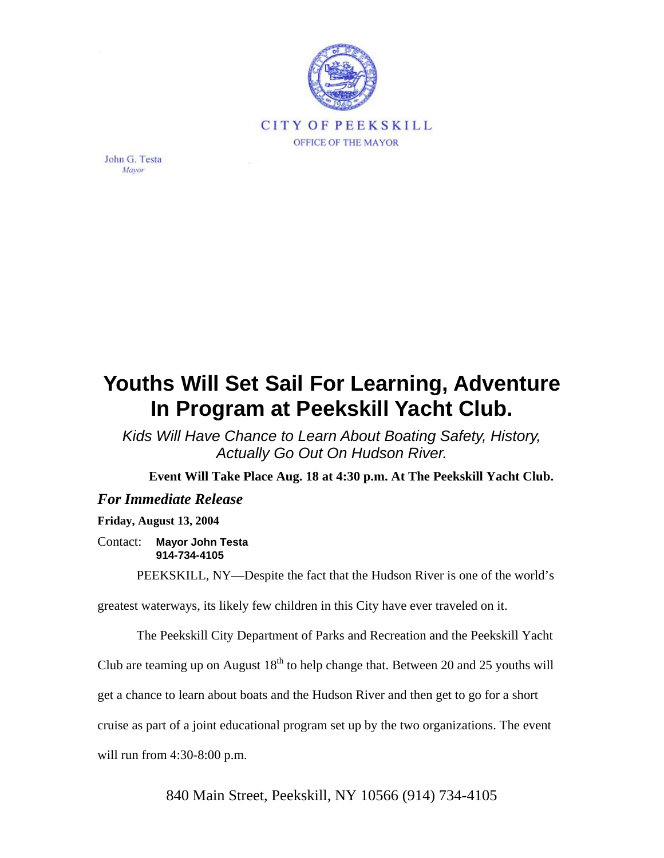

John G. Testa Mayor

## **Youths Will Set Sail For Learning, Adventure In Program at Peekskill Yacht Club.**

*Kids Will Have Chance to Learn About Boating Safety, History, Actually Go Out On Hudson River.*

**Event Will Take Place Aug. 18 at 4:30 p.m. At The Peekskill Yacht Club.** 

## *For Immediate Release*

## **Friday, August 13, 2004**

Contact: **Mayor John Testa 914-734-4105** 

PEEKSKILL, NY—Despite the fact that the Hudson River is one of the world's

greatest waterways, its likely few children in this City have ever traveled on it.

The Peekskill City Department of Parks and Recreation and the Peekskill Yacht

Club are teaming up on August  $18<sup>th</sup>$  to help change that. Between 20 and 25 youths will

get a chance to learn about boats and the Hudson River and then get to go for a short

cruise as part of a joint educational program set up by the two organizations. The event

will run from 4:30-8:00 p.m.

840 Main Street, Peekskill, NY 10566 (914) 734-4105